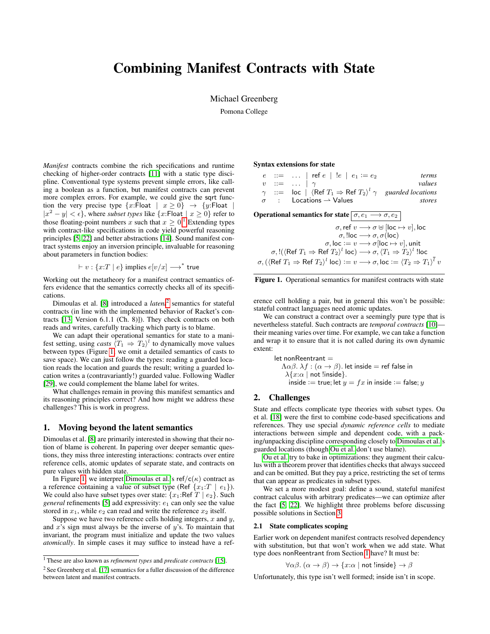# Combining Manifest Contracts with State

Michael Greenberg

Pomona College

*Manifest* contracts combine the rich specifications and runtime checking of higher-order contracts [\[11\]](#page-1-0) with a static type discipline. Conventional type systems prevent simple errors, like calling a boolean as a function, but manifest contracts can prevent more complex errors. For example, we could give the sqrt function the very precise type  $\{x: \text{Float} \mid x \geq 0\} \rightarrow \{y: \text{Float} \mid$  $|x^2 - y| < \epsilon$ , where *subset types* like  $\{x : \text{Float} \mid x \geq 0\}$  refer to those floating-point numbers x such that  $x \geq 0$ .<sup>[1](#page-0-0)</sup> Extending types with contract-like specifications in code yield powerful reasoning principles [\[5,](#page-1-1) [22\]](#page-2-0) and better abstractions [\[14\]](#page-1-2). Sound manifest contract systems enjoy an inversion principle, invaluable for reasoning about parameters in function bodies:

 $\vdash v : \{x : T \mid e\}$  implies  $e[v/x] \longrightarrow^*$  true

Working out the metatheory for a manifest contract semantics offers evidence that the semantics correctly checks all of its specifications.

Dimoulas et al. [\[8\]](#page-1-3) introduced a *latent*[2](#page-0-1) semantics for stateful contracts (in line with the implemented behavior of Racket's contracts [\[13,](#page-1-4) Version 6.1.1 (Ch. 8)]). They check contracts on both reads and writes, carefully tracking which party is to blame.

We can adapt their operational semantics for state to a manifest setting, using *casts*  $\langle T_1 \Rightarrow T_2 \rangle^l$  to dynamically move values between types (Figure [1;](#page-0-2) we omit a detailed semantics of casts to save space). We can just follow the types: reading a guarded location reads the location and guards the result; writing a guarded location writes a (contravariantly!) guarded value. Following Wadler [\[29\]](#page-2-1), we could complement the blame label for writes.

What challenges remain in proving this manifest semantics and its reasoning principles correct? And how might we address these challenges? This is work in progress.

#### <span id="page-0-3"></span>1. Moving beyond the latent semantics

Dimoulas et al. [\[8\]](#page-1-3) are primarily interested in showing that their notion of blame is coherent. In papering over deeper semantic questions, they miss three interesting interactions: contracts over entire reference cells, atomic updates of separate state, and contracts on pure values with hidden state.

In Figure [1,](#page-0-2) we interpret [Dimoulas et al.'](#page-1-3)s ref/c( $\kappa$ ) contract as a reference containing a value of subset type (Ref  $\{x_1:T \mid e_1\}$ ). We could also have subset types over state:  $\{x_1: \text{Ref } T \mid e_2\}$ . Such *general* refinements [\[5\]](#page-1-1) add expressivity:  $e_1$  can only see the value stored in  $x_1$ , while  $e_2$  can read and write the reference  $x_2$  itself.

Suppose we have two reference cells holding integers,  $x$  and  $y$ , and  $x$ 's sign must always be the inverse of  $y$ 's. To maintain that invariant, the program must initialize and update the two values *atomically*. In simple cases it may suffice to instead have a refSyntax extensions for state

|                                                                                                                                                                                                                                                                                                                                                                                                                                                               |  |                     |                                           |  | $e$ ::=    ref $e$   ! $e$   $e_1$ := $e_2$ | <i>terms</i>                                                                                    |
|---------------------------------------------------------------------------------------------------------------------------------------------------------------------------------------------------------------------------------------------------------------------------------------------------------------------------------------------------------------------------------------------------------------------------------------------------------------|--|---------------------|-------------------------------------------|--|---------------------------------------------|-------------------------------------------------------------------------------------------------|
|                                                                                                                                                                                                                                                                                                                                                                                                                                                               |  | $v$ ::=    $\gamma$ |                                           |  |                                             | values                                                                                          |
|                                                                                                                                                                                                                                                                                                                                                                                                                                                               |  |                     |                                           |  |                                             | $\gamma$ ::= loc   $\langle$ Ref $T_1 \Rightarrow$ Ref $T_2 \rangle^l \gamma$ guarded locations |
|                                                                                                                                                                                                                                                                                                                                                                                                                                                               |  |                     | $\sigma$ : Locations $\rightarrow$ Values |  |                                             | stores                                                                                          |
| Operational semantics for state $\boxed{\sigma, e_1 \longrightarrow \sigma, e_2}$<br>$\sigma$ , ref $v \longrightarrow \sigma \cup$ [loc $\mapsto v$ ], loc<br>$\sigma$ , !loc $\longrightarrow \sigma$ , $\sigma$ (loc)<br>$\sigma$ , loc := $v \rightarrow \sigma$ [loc $\mapsto v$ ], unit<br>$\sigma,$ ! $(\langle \text{Ref } T_1 \Rightarrow \text{Ref } T_2 \rangle^l \text{ loc}) \longrightarrow \sigma, \langle T_1 \Rightarrow T_2 \rangle^l$ !loc |  |                     |                                           |  |                                             |                                                                                                 |
| $\sigma$ , ( $\langle$ Ref $T_1 \Rightarrow$ Ref $T_2 \rangle^l$ loc) $:= v \longrightarrow \sigma$ , loc $:= \langle T_2 \Rightarrow T_1 \rangle^l v$                                                                                                                                                                                                                                                                                                        |  |                     |                                           |  |                                             |                                                                                                 |

<span id="page-0-2"></span>

erence cell holding a pair, but in general this won't be possible: stateful contract languages need atomic updates.

We can construct a contract over a seemingly pure type that is nevertheless stateful. Such contracts are *temporal contracts* [\[10\]](#page-1-6) their meaning varies over time. For example, we can take a function and wrap it to ensure that it is not called during its own dynamic extent:

> let non $\mathsf{Reentrant} =$  $Λαβ$ .  $λf$  :  $(α → β)$ . let inside = ref false in  $\lambda \{x:\alpha \mid \mathsf{not}\; \mathsf{linside}\}.$ inside := true; let  $y = fx$  in inside := false; y

# 2. Challenges

State and effects complicate type theories with subset types. Ou et al. [\[18\]](#page-2-3) were the first to combine code-based specifications and references. They use special *dynamic reference cells* to mediate interactions between simple and dependent code, with a packing/unpacking discipline corresponding closely to [Dimoulas et al.'](#page-1-3)s guarded locations (though [Ou et al.](#page-2-3) don't use blame).

[Ou et al.](#page-2-3) try to bake in optimizations: they augment their calculus with a theorem prover that identifies checks that always succeed and can be omitted. But they pay a price, restricting the set of terms that can appear as predicates in subset types.

We set a more modest goal: define a sound, stateful manifest contract calculus with arbitrary predicates—we can optimize after the fact [\[5,](#page-1-1) [22\]](#page-2-0). We highlight three problems before discussing possible solutions in Section [3.](#page-1-7)

# 2.1 State complicates scoping

Earlier work on dependent manifest contracts resolved dependency with substitution, but that won't work when we add state. What type does nonReentrant from Section [1](#page-0-3) have? It must be:

$$
\forall \alpha \beta. \ (\alpha \to \beta) \to \{x : \alpha \mid \text{not } \text{linside}\} \to \beta
$$

Unfortunately, this type isn't well formed; inside isn't in scope.

<span id="page-0-0"></span><sup>1</sup> These are also known as *refinement types* and *predicate contracts* [\[15\]](#page-1-5).

<span id="page-0-1"></span><sup>2</sup> See Greenberg et al. [\[17\]](#page-2-2) semantics for a fuller discussion of the difference between latent and manifest contracts.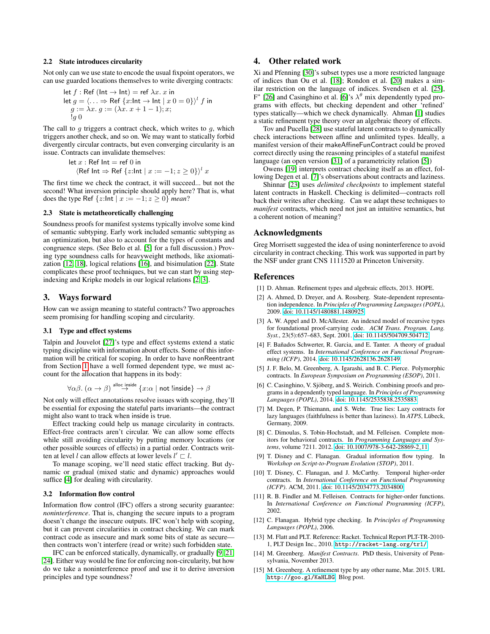#### 2.2 State introduces circularity

Not only can we use state to encode the usual fixpoint operators, we can use guarded locations themselves to write diverging contracts:

let 
$$
f : \text{Ref } (\text{Int} \to \text{Int}) = \text{ref } \lambda x. x \text{ in}
$$
  
let  $g = \langle ... \Rightarrow \text{Ref } \{x : \text{Int} \to \text{Int } | x \text{ } 0 = 0 \} \rangle^l f \text{ in}$   
 $g := \lambda x. g := (\lambda x. x + 1 - 1); x;$   
 $\downarrow g 0$ 

The call to  $g$  triggers a contract check, which writes to  $g$ , which triggers another check, and so on. We may want to statically forbid divergently circular contracts, but even converging circularity is an issue. Contracts can invalidate themselves:

$$
\begin{aligned} &\text{let } x: \text{Ref Int} = \text{ref 0 in} \\ &\langle \text{Ref Int} \Rightarrow \text{Ref } \{z: \text{Int} \mid x := -1; z \ge 0\} \rangle^l \, x \end{aligned}
$$

The first time we check the contract, it will succeed... but not the second! What inversion principle should apply here? That is, what does the type Ref  $\{z:\ln z \mid x := -1; z \ge 0\}$  *mean*?

## 2.3 State is metatheoretically challenging

Soundness proofs for manifest systems typically involve some kind of semantic subtyping. Early work included semantic subtyping as an optimization, but also to account for the types of constants and congruence steps. (See Belo et al. [\[5\]](#page-1-1) for a full discussion.) Proving type soundness calls for heavyweight methods, like axiomatization [\[12,](#page-1-8) [18\]](#page-2-3), logical relations [\[16\]](#page-2-4), and bisimulation [\[22\]](#page-2-0). State complicates these proof techniques, but we can start by using stepindexing and Kripke models in our logical relations [\[2,](#page-1-9) [3\]](#page-1-10).

#### <span id="page-1-7"></span>3. Ways forward

How can we assign meaning to stateful contracts? Two approaches seem promising for handling scoping and circularity.

## 3.1 Type and effect systems

Talpin and Jouvelot [\[27\]](#page-2-5)'s type and effect systems extend a static typing discipline with information about effects. Some of this information will be critical for scoping. In order to have nonReentrant from Section [1](#page-0-3) have a well formed dependent type, we must account for the allocation that happens in its body:

$$
\forall \alpha \beta \ldotp (\alpha \rightarrow \beta) \stackrel{\text{alloc inside}}{\rightarrow} \{x : \alpha \mid \text{not } ! \text{inside}\} \rightarrow \beta
$$

Not only will effect annotations resolve issues with scoping, they'll be essential for exposing the stateful parts invariants—the contract might also want to track when inside is true.

Effect tracking could help us manage circularity in contracts. Effect-free contracts aren't circular. We can allow some effects while still avoiding circularity by putting memory locations (or other possible sources of effects) in a partial order. Contracts written at level l can allow effects at lower levels  $l' \sqsubset l$ .

To manage scoping, we'll need static effect tracking. But dynamic or gradual (mixed static and dynamic) approaches would suffice [\[4\]](#page-1-11) for dealing with circularity.

#### 3.2 Information flow control

Information flow control (IFC) offers a strong security guarantee: *noninterference*. That is, changing the secure inputs to a program doesn't change the insecure outputs. IFC won't help with scoping, but it can prevent circularities in contract checking. We can mark contract code as insecure and mark some bits of state as secure then contracts won't interfere (read or write) such forbidden state.

IFC can be enforced statically, dynamically, or gradually [\[9,](#page-1-12) [21,](#page-2-6) [24\]](#page-2-7). Either way would be fine for enforcing non-circularity, but how do we take a noninterference proof and use it to derive inversion principles and type soundness?

# 4. Other related work

Xi and Pfenning [\[30\]](#page-2-8)'s subset types use a more restricted language of indices than Ou et al. [\[18\]](#page-2-3); Rondon et al. [\[20\]](#page-2-9) makes a similar restriction on the language of indices. Svendsen et al. [\[25\]](#page-2-10),  $F^*$  [\[26\]](#page-2-11) and Casinghino et al. [\[6\]](#page-1-13)'s  $\lambda^{\theta}$  mix dependently typed programs with effects, but checking dependent and other 'refined' types statically—which we check dynamically. Ahman [\[1\]](#page-1-14) studies a static refinement type theory over an algebraic theory of effects.

Tov and Pucella [\[28\]](#page-2-12) use stateful latent contracts to dynamically check interactions between affine and unlimited types. Ideally, a manifest version of their makeAffineFunContract could be proved correct directly using the reasoning principles of a stateful manifest language (an open version [\[31\]](#page-2-13) of a parametricity relation [\[5\]](#page-1-1))

Owens [\[19\]](#page-2-14) interprets contract checking itself as an effect, following Degen et al. [\[7\]](#page-1-15)'s observations about contracts and laziness.

Shinnar [\[23\]](#page-2-15) uses *delimited checkpoints* to implement stateful latent contracts in Haskell. Checking is delimited—contracts roll back their writes after checking. Can we adapt these techniques to *manifest* contracts, which need not just an intuitive semantics, but a coherent notion of meaning?

#### Acknowledgments

Greg Morrisett suggested the idea of using noninterference to avoid circularity in contract checking. This work was supported in part by the NSF under grant CNS 1111520 at Princeton University.

# References

- <span id="page-1-14"></span>[1] D. Ahman. Refinement types and algebraic effects, 2013. HOPE.
- <span id="page-1-9"></span>[2] A. Ahmed, D. Dreyer, and A. Rossberg. State-dependent representation independence. In *Principles of Programming Languages (POPL)*, 2009. [doi: 10.1145/1480881.1480925.](http://dx.doi.org/10.1145/1480881.1480925)
- <span id="page-1-10"></span>[3] A. W. Appel and D. McAllester. An indexed model of recursive types for foundational proof-carrying code. *ACM Trans. Program. Lang. Syst.*, 23(5):657–683, Sept. 2001. [doi: 10.1145/504709.504712.](http://dx.doi.org/10.1145/504709.504712)
- <span id="page-1-11"></span>[4] F. Bañados Schwerter, R. Garcia, and E. Tanter. A theory of gradual effect systems. In *International Conference on Functional Programming (ICFP)*, 2014. [doi: 10.1145/2628136.2628149.](http://dx.doi.org/10.1145/2628136.2628149)
- <span id="page-1-1"></span>[5] J. F. Belo, M. Greenberg, A. Igarashi, and B. C. Pierce. Polymorphic contracts. In *European Symposium on Programming (ESOP)*, 2011.
- <span id="page-1-13"></span>[6] C. Casinghino, V. Sjöberg, and S. Weirich. Combining proofs and programs in a dependently typed language. In *Principles of Programming Languages (POPL)*, 2014. [doi: 10.1145/2535838.2535883.](http://dx.doi.org/10.1145/2535838.2535883)
- <span id="page-1-15"></span>[7] M. Degen, P. Thiemann, and S. Wehr. True lies: Lazy contracts for lazy languages (faithfulness is better than laziness). In *ATPS*, Lübeck, Germany, 2009.
- <span id="page-1-3"></span>[8] C. Dimoulas, S. Tobin-Hochstadt, and M. Felleisen. Complete monitors for behavioral contracts. In *Programming Languages and Systems*, volume 7211. 2012. [doi: 10.1007/978-3-642-28869-2](http://dx.doi.org/10.1007/978-3-642-28869-2_11) 11.
- <span id="page-1-12"></span>[9] T. Disney and C. Flanagan. Gradual information flow typing. In *Workshop on Script-to-Program Evolution (STOP)*, 2011.
- <span id="page-1-6"></span>[10] T. Disney, C. Flanagan, and J. McCarthy. Temporal higher-order contracts. In *International Conference on Functional Programming (ICFP)*. ACM, 2011. [doi: 10.1145/2034773.2034800.](http://dx.doi.org/10.1145/2034773.2034800)
- <span id="page-1-0"></span>[11] R. B. Findler and M. Felleisen. Contracts for higher-order functions. In *International Conference on Functional Programming (ICFP)*, 2002.
- <span id="page-1-8"></span>[12] C. Flanagan. Hybrid type checking. In *Principles of Programming Languages (POPL)*, 2006.
- <span id="page-1-4"></span>[13] M. Flatt and PLT. Reference: Racket. Technical Report PLT-TR-2010-1, PLT Design Inc., 2010. <http://racket-lang.org/tr1/>.
- <span id="page-1-2"></span>[14] M. Greenberg. *Manifest Contracts*. PhD thesis, University of Pennsylvania, November 2013.
- <span id="page-1-5"></span>[15] M. Greenberg. A refinement type by any other name, Mar. 2015. URL <http://goo.gl/KaHLBG>. Blog post.